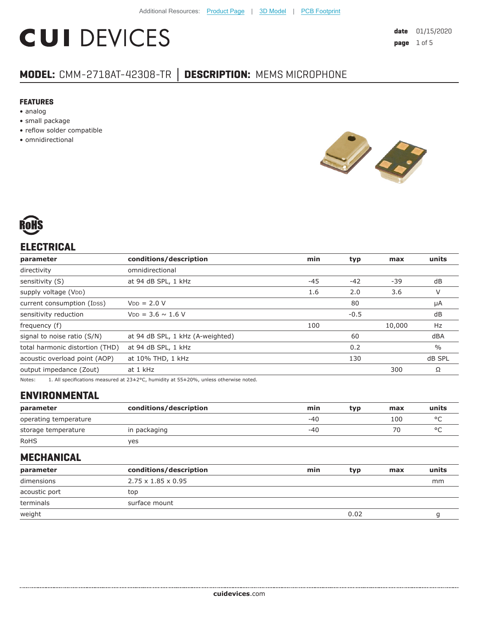# **CUI DEVICES**

# **MODEL:** CMM-2718AT-42308-TR **│ DESCRIPTION:** MEMS MICROPHONE

#### **FEATURES**

- analog
- small package
- reflow solder compatible
- omnidirectional





# **ELECTRICAL**

| parameter                                                                                                                                                                                                                       | conditions/description           | min   | typ    | max    | units         |
|---------------------------------------------------------------------------------------------------------------------------------------------------------------------------------------------------------------------------------|----------------------------------|-------|--------|--------|---------------|
| directivity                                                                                                                                                                                                                     | omnidirectional                  |       |        |        |               |
| sensitivity (S)                                                                                                                                                                                                                 | at 94 dB SPL, 1 kHz              | $-45$ | $-42$  | -39    | dB            |
| supply voltage (VDD)                                                                                                                                                                                                            |                                  | 1.6   | 2.0    | 3.6    | V             |
| current consumption (Ipss)                                                                                                                                                                                                      | $VDD = 2.0 V$                    |       | 80     |        | μA            |
| sensitivity reduction                                                                                                                                                                                                           | $V_{DD} = 3.6 \sim 1.6 V$        |       | $-0.5$ |        | dB            |
| frequency (f)                                                                                                                                                                                                                   |                                  | 100   |        | 10,000 | Hz            |
| signal to noise ratio (S/N)                                                                                                                                                                                                     | at 94 dB SPL, 1 kHz (A-weighted) |       | 60     |        | dBA           |
| total harmonic distortion (THD)                                                                                                                                                                                                 | at 94 dB SPL, 1 kHz              |       | 0.2    |        | $\frac{0}{0}$ |
| acoustic overload point (AOP)                                                                                                                                                                                                   | at 10% THD, 1 kHz                |       | 130    |        | dB SPL        |
| output impedance (Zout)                                                                                                                                                                                                         | at 1 kHz                         |       |        | 300    | Ω             |
| $\sim$ . The contract of the contract of the contract of the contract of the contract of the contract of the contract of the contract of the contract of the contract of the contract of the contract of the contract of the co |                                  |       |        |        |               |

Notes: 1. All specifications measured at 23±2°C, humidity at 55±20%, unless otherwise noted.

### **ENVIRONMENTAL**

| parameter             | conditions/description | min   | typ | max | units |
|-----------------------|------------------------|-------|-----|-----|-------|
| operating temperature |                        | $-40$ |     | 100 | ٥Γ    |
| storage temperature   | in packaging           | -40   |     | 70  |       |
| <b>RoHS</b>           | ves                    |       |     |     |       |

### **MECHANICAL**

| parameter     | conditions/description         | min | typ  | max | units |
|---------------|--------------------------------|-----|------|-----|-------|
| dimensions    | $2.75 \times 1.85 \times 0.95$ |     |      |     | mm    |
| acoustic port | top                            |     |      |     |       |
| terminals     | surface mount                  |     |      |     |       |
| weight        |                                |     | 0.02 |     |       |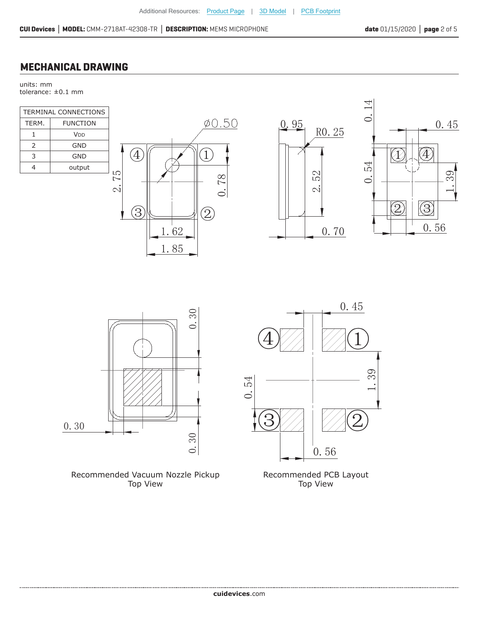# **MECHANICAL DRAWING**

units: mm tolerance: ±0.1 mm

| <b>TERMINAL CONNECTIONS</b> |                 |  |  |
|-----------------------------|-----------------|--|--|
| TERM.                       | <b>FUNCTION</b> |  |  |
| 1                           | V <sub>DD</sub> |  |  |
| $\mathcal{P}$               | GND             |  |  |
| 3                           | GND             |  |  |
| 4                           | output          |  |  |
|                             |                 |  |  |













Recommended PCB Layout Top View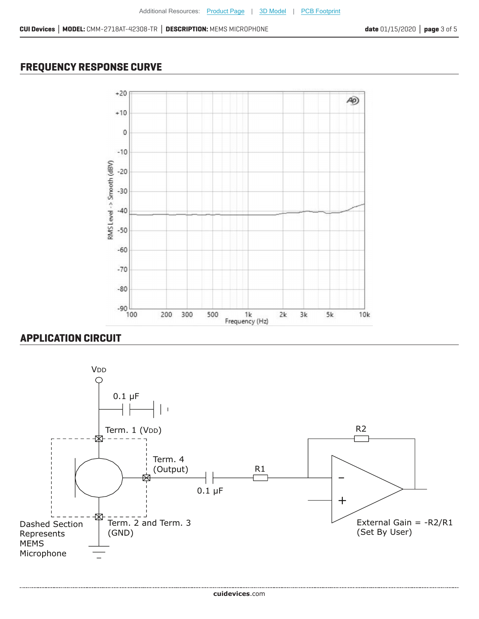# **FREQUENCY RESPONSE CURVE**



# **APPLICATION CIRCUIT**

.....................

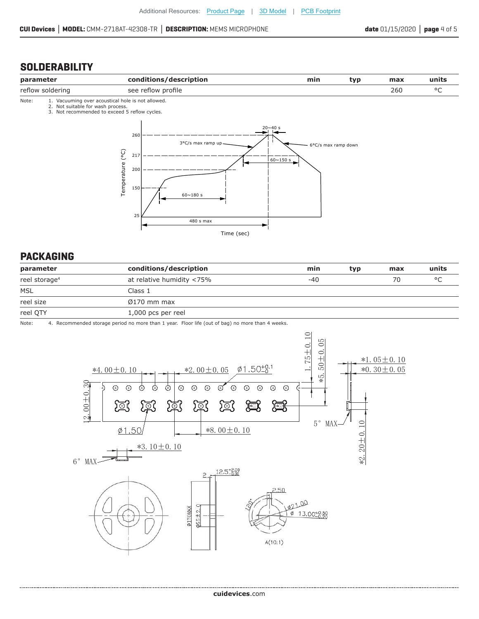# **SOLDERABILITY**





#### **PACKAGING**

| parameter                 | conditions/description    | min | typ | max | units   |
|---------------------------|---------------------------|-----|-----|-----|---------|
| reel storage <sup>4</sup> | at relative humidity <75% | -40 |     | 70  | $\circ$ |
| <b>MSL</b>                | Class 1                   |     |     |     |         |
| reel size                 | $\varnothing$ 170 mm max  |     |     |     |         |
| reel QTY                  | $1,000$ pcs per reel      |     |     |     |         |

Note: 4. Recommended storage period no more than 1 year. Floor life (out of bag) no more than 4 weeks.